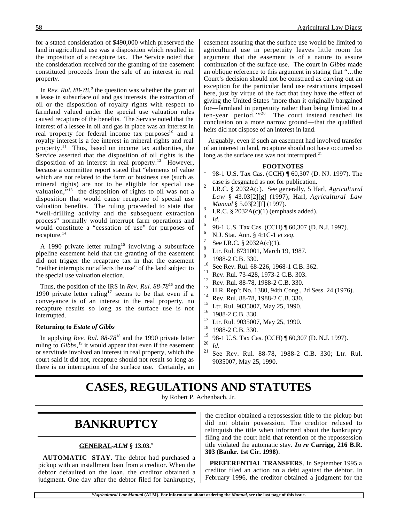for a stated consideration of \$490,000 which preserved the land in agricultural use was a disposition which resulted in the imposition of a recapture tax. The Service noted that the consideration received for the granting of the easement constituted proceeds from the sale of an interest in real property.

In *Rev. Rul.* 88-78,<sup>9</sup> the question was whether the grant of a lease in subsurface oil and gas interests, the extraction of oil or the disposition of royalty rights with respect to farmland valued under the special use valuation rules caused recapture of the benefits. The Service noted that the interest of a lessee in oil and gas in place was an interest in real property for federal income tax purposes<sup>10</sup> and a royalty interest is a fee interest in mineral rights and real property.11 Thus, based on income tax authorities, the Service asserted that the disposition of oil rights is the disposition of an interest in real property.<sup>12</sup> However, because a committee report stated that "elements of value which are not related to the farm or business use (such as mineral rights) are not to be eligible for special use valuation, $\frac{5}{13}$  the disposition of rights to oil was not a disposition that would cause recapture of special use valuation benefits. The ruling proceeded to state that "well-drilling activity and the subsequent extraction process" normally would interrupt farm operations and would constitute a "cessation of use" for purposes of recapture.<sup>14</sup>

A 1990 private letter ruling<sup>15</sup> involving a subsurface pipeline easement held that the granting of the easement did not trigger the recapture tax in that the easement "neither interrupts nor affects the use" of the land subject to the special use valuation election.

Thus, the position of the IRS in *Rev. Rul. 88-78*16 and the 1990 private letter ruling<sup>17</sup> seems to be that even if a conveyance is of an interest in the real property, no recapture results so long as the surface use is not interrupted.

#### **Returning to** *Estate of Gibbs*

In applying *Rev. Rul. 88-78*18 and the 1990 private letter ruling to *Gibbs*, 19 it would appear that even if the easement or servitude involved an interest in real property, which the court said it did not, recapture should not result so long as there is no interruption of the surface use. Certainly, an easement assuring that the surface use would be limited to agricultural use in perpetuity leaves little room for argument that the easement is of a nature to assure continuation of the surface use. The court in *Gibbs* made an oblique reference to this argument in stating that "…the Court's decision should not be construed as carving out an exception for the particular land use restrictions imposed here, just by virtue of the fact that they have the effect of giving the United States 'more than it originally bargained for—farmland in perpetuity rather than being limited to a ten-year period.'"<sup>20</sup> The court instead reached its conclusion on a more narrow ground—that the qualified heirs did not dispose of an interest in land.

Arguably, even if such an easement had involved transfer of an interest in land, recapture should not have occurred so long as the surface use was not interrupted.<sup>21</sup>

#### **FOOTNOTES**

- 98-1 U.S. Tax Cas. (CCH) ¶ 60,307 (D. NJ. 1997). The case is desgnated as not for publication.<br>I.R.C. § 2032A(c). See generally, 5 Harl, *Agricultural*
- *Law* § 43.03[2][g] (1997); Harl, *Agricultural Law Manual* § 5.03[2][f] (1997).<br><sup>3</sup> I.R.C. § 2032A(c)(1) (emphasis added).
	-
- 
- <sup>4</sup> *Id.* 5 98-1 U.S. Tax Cas. (CCH) ¶ 60,307 (D. N.J. 1997).
	- N.J. Stat. Ann. § 4:1C-1 *et seq.* See I.R.C. § 2032A(c)(1).
- 
- Ltr. Rul. 8731001, March 19, 1987.
- $^{9}$  1988-2 C.B. 330.
- <sup>10</sup> See Rev. Rul. 68-226, 1968-1 C.B. 362.
- <sup>11</sup> Rev. Rul. 73-428, 1973-2 C.B. 303.<br><sup>12</sup> Pay, Bul. 88.78, 1088.2 G.B. 320.
- <sup>12</sup> Rev. Rul. 88-78, 1988-2 C.B. 330.<br><sup>13</sup> H.B. Ben't No. 1280, 04th Gana
- <sup>13</sup> H.R. Rep't No. 1380, 94th Cong., 2d Sess. 24 (1976).
- <sup>14</sup> Rev. Rul. 88-78, 1988-2 C.B. 330.
- <sup>15</sup> Ltr. Rul. 9035007, May 25, 1990.<br><sup>16</sup> 1098 2 G B 220
- $^{16}$  1988-2 C.B. 330.
- <sup>17</sup> Ltr. Rul. 9035007, May 25, 1990.<br><sup>18</sup> 1098 2 G B 220.
- $^{18}$  1988-2 C.B. 330.
- $\frac{19}{20}$  98-1 U.S. Tax Cas. (CCH) ¶ 60,307 (D. N.J. 1997).

<sup>20</sup> *Id.* 21 See Rev. Rul. 88-78, 1988-2 C.B. 330; Ltr. Rul. 9035007, May 25, 1990.

### **CASES, REGULATIONS AND STATUTES**

by Robert P. Achenbach, Jr.

### **BANKRUPTCY**

#### **GENERAL -***ALM* **§ 13.03.\***

**AUTOMATIC STAY**. The debtor had purchased a pickup with an installment loan from a creditor. When the debtor defaulted on the loan, the creditor obtained a judgment. One day after the debtor filed for bankruptcy,

the creditor obtained a repossession title to the pickup but did not obtain possession. The creditor refused to relinquish the title when informed about the bankruptcy filing and the court held that retention of the repossession title violated the automatic stay. *In re* **Carrigg, 216 B.R. 303 (Bankr. 1st Cir. 1998)**.

**PREFERENTIAL TRANSFERS**. In September 1995 a creditor filed an action on a debt against the debtor. In February 1996, the creditor obtained a judgment for the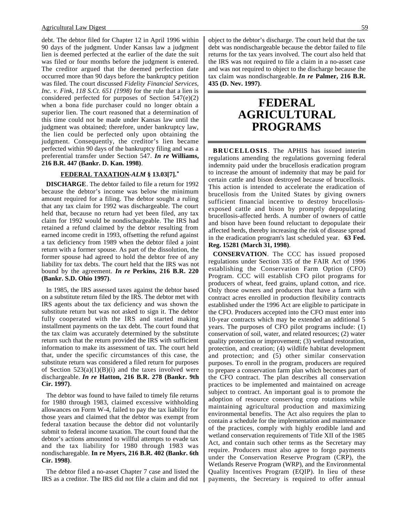debt. The debtor filed for Chapter 12 in April 1996 within 90 days of the judgment. Under Kansas law a judgment lien is deemed perfected at the earlier of the date the suit was filed or four months before the judgment is entered. The creditor argued that the deemed perfection date occurred more than 90 days before the bankruptcy petition was filed. The court discussed *Fidelity Financial Services, Inc. v. Fink, 118 S.Ct. 651 (1998)* for the rule that a lien is considered perfected for purposes of Section 547(e)(2) when a bona fide purchaser could no longer obtain a superior lien. The court reasoned that a determination of this time could not be made under Kansas law until the judgment was obtained; therefore, under bankruptcy law, the lien could be perfected only upon obtaining the judgment. Consequently, the creditor's lien became perfected within 90 days of the bankruptcy filing and was a preferential transfer under Section 547. *In re* **Williams, 216 B.R. 447 (Bankr. D. Kan. 1998)**.

#### **FEDERAL TAXATION -***ALM* **§ 13.03[7].\***

**DISCHARGE**. The debtor failed to file a return for 1992 because the debtor's income was below the minimum amount required for a filing. The debtor sought a ruling that any tax claim for 1992 was dischargeable. The court held that, because no return had yet been filed, any tax claim for 1992 would be nondischargeable. The IRS had retained a refund claimed by the debtor resulting from earned income credit in 1993, offsetting the refund against a tax deficiency from 1989 when the debtor filed a joint return with a former spouse. As part of the dissolution, the former spouse had agreed to hold the debtor free of any liability for tax debts. The court held that the IRS was not bound by the agreement. *In re* **Perkins, 216 B.R. 220 (Bankr. S.D. Ohio 1997)**.

In 1985, the IRS assessed taxes against the debtor based on a substitute return filed by the IRS. The debtor met with IRS agents about the tax deficiency and was shown the substitute return but was not asked to sign it. The debtor fully cooperated with the IRS and started making installment payments on the tax debt. The court found that the tax claim was accurately determined by the substitute return such that the return provided the IRS with sufficient information to make its assessment of tax. The court held that, under the specific circumstances of this case, the substitute return was considered a filed return for purposes of Section  $523(a)(1)(B)(i)$  and the taxes involved were dischargeable. *In re* **Hatton, 216 B.R. 278 (Bankr. 9th Cir. 1997)**.

The debtor was found to have failed to timely file returns for 1980 through 1983, claimed excessive withholding allowances on Form W-4, failed to pay the tax liability for those years and claimed that the debtor was exempt from federal taxation because the debtor did not voluntarily submit to federal income taxation. The court found that the debtor's actions amounted to willful attempts to evade tax and the tax liability for 1980 through 1983 was nondischaregable. **In re Myers, 216 B.R. 402 (Bankr. 6th Cir. 1998)**.

The debtor filed a no-asset Chapter 7 case and listed the IRS as a creditor. The IRS did not file a claim and did not object to the debtor's discharge. The court held that the tax debt was nondischargeable because the debtor failed to file returns for the tax years involved. The court also held that the IRS was not required to file a claim in a no-asset case and was not required to object to the discharge because the tax claim was nondischargeable. *In re* **Palmer, 216 B.R. 435 (D. Nev. 1997)**.

### **FEDERAL AGRICULTURAL PROGRAMS**

**BRUCELLOSIS**. The APHIS has issued interim regulations amending the regulations governing federal indemnity paid under the brucellosis eradication program to increase the amount of indemnity that may be paid for certain cattle and bison destroyed because of brucellosis. This action is intended to accelerate the eradication of brucellosis from the United States by giving owners sufficient financial incentive to destroy brucellosisexposed cattle and bison by promptly depopulating brucellosis-affected herds. A number of owners of cattle and bison have been found reluctant to depopulate their affected herds, thereby increasing the risk of disease spread in the eradication program's last scheduled year. **63 Fed. Reg. 15281 (March 31, 1998)**.

**CONSERVATION**. The CCC has issued proposed regulations under Section 335 of the FAIR Act of 1996 establishing the Conservation Farm Option (CFO) Program. CCC will establish CFO pilot programs for producers of wheat, feed grains, upland cotton, and rice. Only those owners and producers that have a farm with contract acres enrolled in production flexibility contracts established under the 1996 Act are eligible to participate in the CFO. Producers accepted into the CFO must enter into 10-year contracts which may be extended an additional 5 years. The purposes of CFO pilot programs include: (1) conservation of soil, water, and related resources; (2) water quality protection or improvement; (3) wetland restoration, protection, and creation; (4) wildlife habitat development and protection; and (5) other similar conservation purposes. To enroll in the program, producers are required to prepare a conservation farm plan which becomes part of the CFO contract. The plan describes all conservation practices to be implemented and maintained on acreage subject to contract. An important goal is to promote the adoption of resource conserving crop rotations while maintaining agricultural production and maximizing environmental benefits. The Act also requires the plan to contain a schedule for the implementation and maintenance of the practices, comply with highly erodible land and wetland conservation requirements of Title XII of the 1985 Act, and contain such other terms as the Secretary may require. Producers must also agree to forgo payments under the Conservation Reserve Program (CRP), the Wetlands Reserve Program (WRP), and the Environmental Quality Incentives Program (EQIP). In lieu of these payments, the Secretary is required to offer annual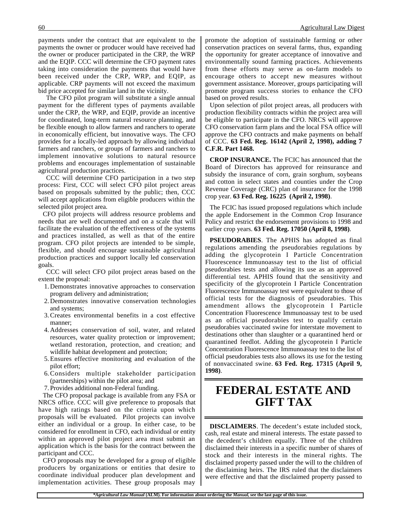payments under the contract that are equivalent to the payments the owner or producer would have received had the owner or producer participated in the CRP, the WRP and the EQIP. CCC will determine the CFO payment rates taking into consideration the payments that would have been received under the CRP, WRP, and EQIP, as applicable. CRP payments will not exceed the maximum bid price accepted for similar land in the vicinity.

 The CFO pilot program will substitute a single annual payment for the different types of payments available under the CRP, the WRP, and EQIP, provide an incentive for coordinated, long-term natural resource planning, and be flexible enough to allow farmers and ranchers to operate in economically efficient, but innovative ways. The CFO provides for a locally-led approach by allowing individual farmers and ranchers, or groups of farmers and ranchers to implement innovative solutions to natural resource problems and encourages implementation of sustainable agricultural production practices.

 CCC will determine CFO participation in a two step process: First, CCC will select CFO pilot project areas based on proposals submitted by the public; then, CCC will accept applications from eligible producers within the selected pilot project area.

CFO pilot projects will address resource problems and needs that are well documented and on a scale that will facilitate the evaluation of the effectiveness of the systems and practices installed, as well as that of the entire program. CFO pilot projects are intended to be simple, flexible, and should encourage sustainable agricultural production practices and support locally led conservation goals.

 CCC will select CFO pilot project areas based on the extent the proposal:

- 1. Demonstrates innovative approaches to conservation program delivery and administration;
- 2. Demonstrates innovative conservation technologies and systems;
- 3. Creates environmental benefits in a cost effective manner;
- 4. Addresses conservation of soil, water, and related resources, water quality protection or improvement; wetland restoration, protection, and creation; and wildlife habitat development and protection;
- 5. Ensures effective monitoring and evaluation of the pilot effort;
- 6. Considers multiple stakeholder participation (partnerships) within the pilot area; and
- 7. Provides additional non-Federal funding.

The CFO proposal package is available from any FSA or NRCS office. CCC will give preference to proposals that have high ratings based on the criteria upon which proposals will be evaluated. Pilot projects can involve either an individual or a group. In either case, to be considered for enrollment in CFO, each individual or entity within an approved pilot project area must submit an application which is the basis for the contract between the participant and CCC.

CFO proposals may be developed for a group of eligible producers by organizations or entities that desire to coordinate individual producer plan development and implementation activities. These group proposals may

promote the adoption of sustainable farming or other conservation practices on several farms, thus, expanding the opportunity for greater acceptance of innovative and environmentally sound farming practices. Achievements from these efforts may serve as on-farm models to encourage others to accept new measures without government assistance. Moreover, groups participating will promote program success stories to enhance the CFO based on proved results.

Upon selection of pilot project areas, all producers with production flexibility contracts within the project area will be eligible to participate in the CFO. NRCS will approve CFO conservation farm plans and the local FSA office will approve the CFO contracts and make payments on behalf of CCC. **63 Fed. Reg. 16142 (April 2, 1998), adding 7 C.F.R. Part 1468.**

**CROP INSURANCE.** The FCIC has announced that the Board of Directors has approved for reinsurance and subsidy the insurance of corn, grain sorghum, soybeans and cotton in select states and counties under the Crop Revenue Coverage (CRC) plan of insurance for the 1998 crop year. **63 Fed. Reg. 16225 (April 2, 1998)**.

The FCIC has issued proposed regulations which include the apple Endorsement in the Common Crop Insurance Policy and restrict the endorsement provisions to 1998 and earlier crop years. **63 Fed. Reg. 17050 (April 8, 1998)**.

**PSEUDORABIES**. The APHIS has adopted as final regulations amending the pseudorabies regulations by adding the glycoprotein I Particle Concentration Fluorescence Immunoassay test to the list of official pseudorabies tests and allowing its use as an approved differential test. APHIS found that the sensitivity and specificity of the glycoprotein I Particle Concentration Fluorescence Immunoassay test were equivalent to those of official tests for the diagnosis of pseudorabies. This amendment allows the glycoprotein I Particle Concentration Fluorescence Immunoassay test to be used as an official pseudorabies test to qualify certain pseudorabies vaccinated swine for interstate movement to destinations other than slaughter or a quarantined herd or quarantined feedlot. Adding the glycoprotein I Particle Concentration Fluorescence Immunoassay test to the list of official pseudorabies tests also allows its use for the testing of nonvaccinated swine. **63 Fed. Reg. 17315 (April 9, 1998)**.

## **FEDERAL ESTATE AND GIFT TAX**

**DISCLAIMERS**. The decedent's estate included stock, cash, real estate and mineral interests. The estate passed to the decedent's children equally. Three of the children disclaimed their interests in a specific number of shares of stock and their interests in the mineral rights. The disclaimed property passed under the will to the children of the disclaiming heirs. The IRS ruled that the disclaimers were effective and that the disclaimed property passed to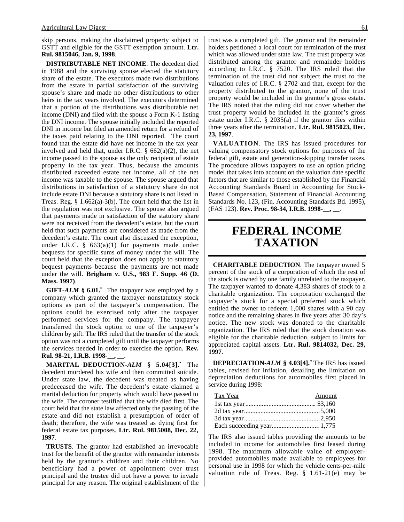skip persons, making the disclaimed property subject to GSTT and eligible for the GSTT exemption amount. **Ltr. Rul. 9815046, Jan. 9, 1998**.

**DISTRIBUTABLE NET INCOME**. The decedent died in 1988 and the surviving spouse elected the statutory share of the estate. The executors made two distributions from the estate in partial satisfaction of the surviving spouse's share and made no other distributions to other heirs in the tax years involved. The executors determined that a portion of the distributions was distributable net income (DNI) and filed with the spouse a Form K-1 listing the DNI income. The spouse initially included the reported DNI in income but filed an amended return for a refund of the taxes paid relating to the DNI reported. The court found that the estate did have net income in the tax year involved and held that, under I.R.C.  $\S$  662(a)(2), the net income passed to the spouse as the only recipient of estate property in the tax year. Thus, because the amounts distributed exceeded estate net income, all of the net income was taxable to the spouse. The spouse argued that distributions in satisfaction of a statutory share do not include estate DNI because a statutory share is not listed in Treas. Reg.  $\S 1.662(a)-3(b)$ . The court held that the list in the regulation was not exclusive. The spouse also argued that payments made in satisfaction of the statutory share were not received from the decedent's estate, but the court held that such payments are considered as made from the decedent's estate. The court also discussed the exception, under I.R.C.  $\S$  663(a)(1) for payments made under bequests for specific sums of money under the will. The court held that the exception does not apply to statutory bequest payments because the payments are not made under the will. **Brigham v. U.S., 983 F. Supp. 46 (D. Mass. 1997)**.

**GIFT-***ALM* **§ 6.01.\*** The taxpayer was employed by a company which granted the taxpayer nonstatutory stock options as part of the taxpayer's compensation. The options could be exercised only after the taxpayer performed services for the company. The taxpayer transferred the stock option to one of the taxpayer's children by gift. The IRS ruled that the transfer of the stock option was not a completed gift until the taxpayer performs the services needed in order to exercise the option. **Rev. Rul. 98-21, I.R.B. 1998-\_\_, \_\_**.

**MARITAL DEDUCTION-***ALM* **§ 5.04[3].\*** The decedent murdered his wife and then committed suicide. Under state law, the decedent was treated as having predeceased the wife. The decedent's estate claimed a marital deduction for property which would have passed to the wife. The coroner testified that the wife died first. The court held that the state law affected only the passing of the estate and did not establish a presumption of order of death; therefore, the wife was treated as dying first for federal estate tax purposes. **Ltr. Rul. 9815008, Dec. 22, 1997**.

**TRUSTS**. The grantor had established an irrevocable trust for the benefit of the grantor with remainder interests held by the grantor's children and their children. No beneficiary had a power of appointment over trust principal and the trustee did not have a power to invade principal for any reason. The original establishment of the trust was a completed gift. The grantor and the remainder holders petitioned a local court for termination of the trust which was allowed under state law. The trust property was distributed among the grantor and remainder holders according to I.R.C. § 7520. The IRS ruled that the termination of the trust did not subject the trust to the valuation rules of I.R.C. § 2702 and that, except for the property distributed to the grantor, none of the trust

property would be included in the grantor's gross estate. The IRS noted that the ruling did not cover whether the trust property would be included in the grantor's gross estate under I.R.C. § 2035(a) if the grantor dies within three years after the termination. **Ltr. Rul. 9815023, Dec. 23, 1997**.

**VALUATION**. The IRS has issued procedures for valuing compensatory stock options for purposes of the federal gift, estate and generation-skipping transfer taxes. The procedure allows taxpayers to use an option pricing model that takes into account on the valuation date specific factors that are similar to those established by the Financial Accounting Standards Board in Accounting for Stock-Based Compensation, Statement of Financial Accounting Standards No. 123, (Fin. Accounting Standards Bd. 1995), (FAS 123). **Rev. Proc. 98-34, I.R.B. 1998-\_\_, \_\_**.

# **FEDERAL INCOME TAXATION**

**CHARITABLE DEDUCTION**. The taxpayer owned 5 percent of the stock of a corporation of which the rest of the stock is owned by one family unrelated to the taxpayer. The taxpayer wanted to donate 4,383 shares of stock to a charitable organization. The corporation exchanged the taxpayer's stock for a special preferred stock which entitled the owner to redeem 1,000 shares with a 90 day notice and the remaining shares in five years after 30 day's notice. The new stock was donated to the charitable organization. The IRS ruled that the stock donation was eligible for the charitable deduction, subject to limits for appreciated capital assets. **Ltr. Rul. 9814032, Dec. 29, 1997**.

**DEPRECIATION-***ALM* **§ 4.03[4].\*** The IRS has issued tables, revised for inflation, detailing the limitation on depreciation deductions for automobiles first placed in service during 1998:

| Tax Year | Amount |
|----------|--------|
|          |        |
|          |        |
|          |        |
|          |        |

The IRS also issued tables providing the amounts to be included in income for automobiles first leased during 1998. The maximum allowable value of employerprovided automobiles made available to employees for personal use in 1998 for which the vehicle cents-per-mile valuation rule of Treas. Reg. § 1.61-21(e) may be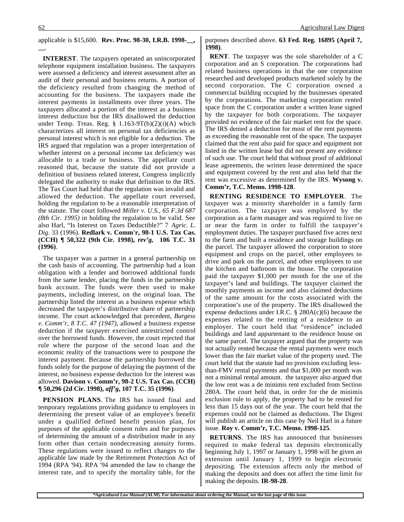#### applicable is \$15,600. **Rev. Proc. 98-30, I.R.B. 1998-\_\_, \_\_**.

**INTEREST**. The taxpayers operated an unincorporated telephone equipment installation business. The taxpayers were assessed a deficiency and interest assessment after an audit of their personal and business returns. A portion of the deficiency resulted from changing the method of accounting for the business. The taxpayers made the interest payments in installments over three years. The taxpayers allocated a portion of the interest as a business interest deduction but the IRS disallowed the deduction under Temp. Treas. Reg.  $\S$  1.163-9T(b)(2)(i)(A) which characterizes all interest on personal tax deficiencies as personal interest which is not eligible for a deduction. The IRS argued that regulation was a proper interpretation of whether interest on a personal income tax deficiency was allocable to a trade or business. The appellate court reasoned that, because the statute did not provide a definition of business related interest, Congress implicitly delegated the authority to make that definition to the IRS. The Tax Court had held that the regulation was invalid and allowed the deduction. The appellate court reversed, holding the regulation to be a reasonable interpretation of the statute. The court followed *Miller v. U.S., 65 F.3d 687 (8th Cir. 1995)* in holding the regulation to be valid. See also Harl, "Is Interest on Taxes Deductible?" 7 *Agric. L. Dig*. 33 (1996). **Redlark v. Comm'r, 98-1 U.S. Tax Cas. (CCH) ¶ 50,322 (9th Cir. 1998),** *rev'g,* **106 T.C. 31 (1996)**.

The taxpayer was a partner in a general partnership on the cash basis of accounting. The partnership had a loan obligation with a lender and borrowed additional funds from the same lender, placing the funds in the partnership bank account. The funds were then used to make payments, including interest, on the original loan. The partnership listed the interest as a business expense which decreased the taxpayer's distributive share of partnership income. The court acknowledged that precedent, *Burgess v. Comm'r, 8 T.C. 47 (1947)*, allowed a business expense deduction if the taxpayer exercised unrestricted control over the borrowed funds. However, the court rejected that rule where the purpose of the second loan and the economic reality of the transactions were to postpone the interest payment. Because the partnership borrowed the funds solely for the purpose of delaying the payment of the interest, no business expense deduction for the interest was allowed. **Davison v. Comm'r, 98-2 U.S. Tax Cas. (CCH) ¶ 50,296 (2d Cir. 1998),** *aff'g***, 107 T.C. 35 (1996)**.

**PENSION PLANS**. The IRS has issued final and temporary regulations providing guidance to employers in determining the present value of an employee's benefit under a qualified defined benefit pension plan, for purposes of the applicable consent rules and for purposes of determining the amount of a distribution made in any form other than certain nondecreasing annuity forms. These regulations were issued to reflect changes to the applicable law made by the Retirement Protection Act of 1994 (RPA '94). RPA '94 amended the law to change the interest rate, and to specify the mortality table, for the purposes described above. **63 Fed. Reg. 16895 (April 7, 1998)**.

**RENT**. The taxpayer was the sole shareholder of a C corporation and an S corporation. The corporations had related business operations in that the one corporation researched and developed products marketed solely by the second corporation. The C corporation owned a commercial building occupied by the businesses operated by the corporations. The marketing corporation rented space from the C corporation under a written lease signed by the taxpayer for both corporations. The taxpayer provided no evidence of the fair market rent for the space. The IRS denied a deduction for most of the rent payments as exceeding the reasonable rent of the space. The taxpayer claimed that the rent also paid for space and equipment not listed in the written lease but did not present any evidence of such use. The court held that without proof of additional lease agreements, the written lease determined the space and equipment covered by the rent and also held that the rent was excessive as determined by the IRS. **Wysong v. Comm'r, T.C. Memo. 1998-128**.

**RENTING RESIDENCE TO EMPLOYER**. The taxpayer was a minority shareholder in a family farm corporation. The taxpayer was employed by the corporation as a farm manager and was required to live on or near the farm in order to fulfill the taxpayer's employment duties. The taxpayer purchased five acres next to the farm and built a residence and storage buildings on the parcel. The taxpayer allowed the corporation to store equipment and crops on the parcel, other employees to drive and park on the parcel, and other employees to use the kitchen and bathroom in the house. The corporation paid the taxpayer \$1,000 per month for the use of the taxpayer's land and buildings. The taxpayer claimed the monthly payments as income and also claimed deductions of the same amount for the costs associated with the corporation's use of the property. The IRS disallowed the expense deductions under I.R.C. § 280A(c)(6) because the expenses related to the renting of a residence to an employer. The court held that "residence" included buildings and land appurtenant to the residence house on the same parcel. The taxpayer argued that the property was not actually rented because the rental payments were much lower than the fair market value of the property used. The court held that the statute had no provision excluding lessthan-FMV rental payments and that \$1,000 per month was not a minimal rental amount. the taxpayer also argued that the low rent was a de minimis rent excluded from Section 280A. The court held that, in order for the de minimis exclusion rule to apply, the property had to be rented for less than 15 days out of the year. The court held that the expenses could not be claimed as deductions. The Digest will publish an article on this case by Neil Harl in a future issue. **Roy v. Comm'r, T.C. Memo. 1998-125**.

**RETURNS**. The IRS has announced that businesses required to make federal tax deposits electronically beginning July 1, 1997 or January 1, 1998 will be given an extension until January 1, 1999 to begin electronic depositing. The extension affects only the method of making the deposits and does not affect the time limit for making the deposits. **IR-98-28**.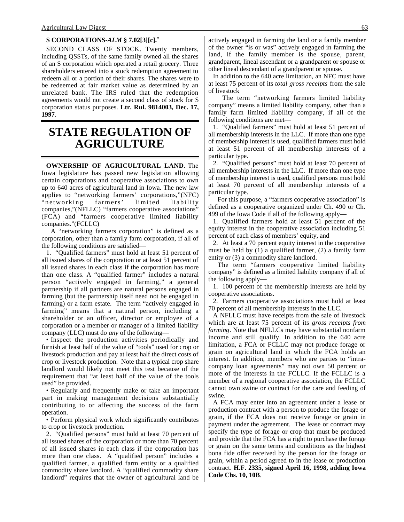#### **S CORPORATIONS-***ALM* **§ 7.02[3][c].\***

SECOND CLASS OF STOCK. Twenty members, including QSSTs, of the same family owned all the shares of an S corporation which operated a retail grocery. Three shareholders entered into a stock redemption agreement to redeem all or a portion of their shares. The shares were to be redeemed at fair market value as determined by an unrelated bank. The IRS ruled that the redemption agreements would not create a second class of stock for S corporation status purposes. **Ltr. Rul. 9814003, Dec. 17, 1997**.

## **STATE REGULATION OF AGRICULTURE**

**OWNERSHIP OF AGRICULTURAL LAND**. The Iowa legislature has passed new legislation allowing certain corporations and cooperative associations to own up to 640 acres of agricultural land in Iowa. The new law applies to "networking farmers' corporations,"(NFC) "networking farmers' limited liability companies,"(NFLLC) "farmers cooperative associations" (FCA) and "farmers cooperative limited liability companies."(FCLLC)

A "networking farmers corporation" is defined as a corporation, other than a family farm corporation, if all of the following conditions are satisfied—

1. "Qualified farmers" must hold at least 51 percent of all issued shares of the corporation or at least 51 percent of all issued shares in each class if the corporation has more than one class. A "qualified farmer" includes a natural person "actively engaged in farming," a general partnership if all partners are natural persons engaged in farming (but the partnership itself need not be engaged in farming) or a farm estate. The term "actively engaged in farming" means that a natural person, including a shareholder or an officer, director or employee of a corporation or a member or manager of a limited liability company (LLC) must do *any* of the following—

• Inspect the production activities periodically and furnish at least half of the value of "tools" used for crop or livestock production and pay at least half the direct costs of crop or livestock production. Note that a typical crop share landlord would likely not meet this test because of the requirement that "at least half of the value of the tools used" be provided.

• Regularly and frequently make or take an important part in making management decisions substantially contributing to or affecting the success of the farm operation.

• Perform physical work which significantly contributes to crop or livestock production.

2. "Qualified persons" must hold at least 70 percent of all issued shares of the corporation or more than 70 percent of all issued shares in each class if the corporation has more than one class. A "qualified person" includes a qualified farmer, a qualified farm entity or a qualified commodity share landlord. A "qualified commodity share landlord" requires that the owner of agricultural land be actively engaged in farming the land or a family member of the owner "is or was" actively engaged in farming the land, if the family member is the spouse, parent, grandparent, lineal ascendant or a grandparent or spouse or other lineal descendant of a grandparent or spouse.

In addition to the 640 acre limitation, an NFC must have at least 75 percent of its *total gross receipts* from the sale of livestock

The term "networking farmers limited liability company" means a limited liability company, other than a family farm limited liability company, if all of the following conditions are met—

1. "Qualified farmers" must hold at least 51 percent of all membership interests in the LLC. If more than one type of membership interest is used, qualified farmers must hold at least 51 percent of all membership interests of a particular type.

2. "Qualified persons" must hold at least 70 percent of all membership interests in the LLC. If more than one type of membership interest is used, qualified persons must hold at least 70 percent of all membership interests of a particular type.

For this purpose, a "farmers cooperative association" is defined as a cooperative organized under Ch. 490 or Ch. 499 of the Iowa Code if all of the following apply—

1. Qualified farmers hold at least 51 percent of the equity interest in the cooperative association including 51 percent of each class of members' equity, and

2. At least a 70 percent equity interest in the cooperative must be held by (1) a qualified farmer, (2) a family farm entity or (3) a commodity share landlord.

The term "farmers cooperative limited liability company" is defined as a limited liability company if all of the following apply—

1. 100 percent of the membership interests are held by cooperative associations.

2. Farmers cooperative associations must hold at least 70 percent of all membership interests in the LLC.

A NFLLC must have receipts from the sale of livestock which are at least 75 percent of its *gross receipts from farming*. Note that NFLLCs may have substantial nonfarm income and still qualify. In addition to the 640 acre limitation, a FCA or FCLLC may not produce forage or grain on agricultural land in which the FCA holds an interest. In addition, members who are parties to "intracompany loan agreements" may not own 50 percent or more of the interests in the FCLLC. If the FCLLC is a member of a regional cooperative association, the FCLLC cannot own swine or contract for the care and feeding of swine.

A FCA may enter into an agreement under a lease or production contract with a person to produce the forage or grain, if the FCA does not receive forage or grain in payment under the agreement. The lease or contract may specify the type of forage or crop that must be produced and provide that the FCA has a right to purchase the forage or grain on the same terms and conditions as the highest bona fide offer received by the person for the forage or grain, within a period agreed to in the lease or production contract. **H.F. 2335, signed April 16, 1998, adding Iowa Code Chs. 10, 10B**.